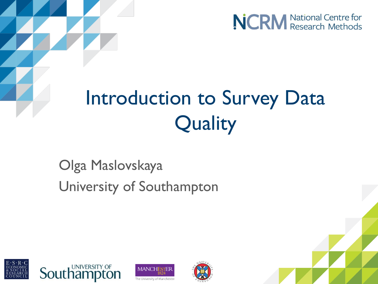

# Introduction to Survey Data **Quality**

### Olga Maslovskaya University of Southampton







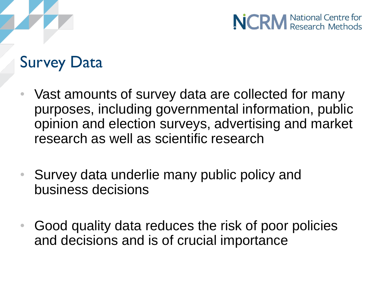

#### Survey Data

- Vast amounts of survey data are collected for many purposes, including governmental information, public opinion and election surveys, advertising and market research as well as scientific research
- Survey data underlie many public policy and business decisions
- Good quality data reduces the risk of poor policies and decisions and is of crucial importance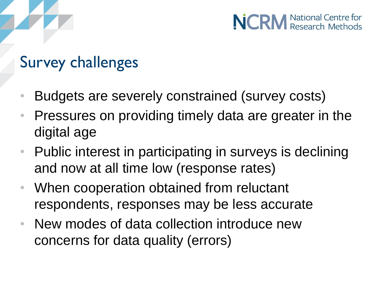#### Survey challenges

- Budgets are severely constrained (survey costs)
- Pressures on providing timely data are greater in the digital age
- Public interest in participating in surveys is declining and now at all time low (response rates)
- When cooperation obtained from reluctant respondents, responses may be less accurate
- New modes of data collection introduce new concerns for data quality (errors)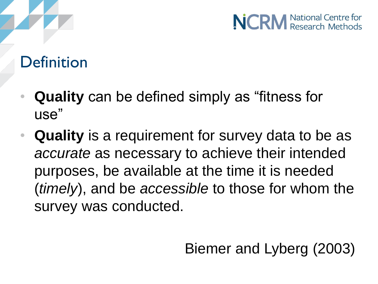

#### **Definition**

- **Quality** can be defined simply as "fitness for use"
- **Quality** is a requirement for survey data to be as *accurate* as necessary to achieve their intended purposes, be available at the time it is needed (*timely*), and be *accessible* to those for whom the survey was conducted.

Biemer and Lyberg (2003)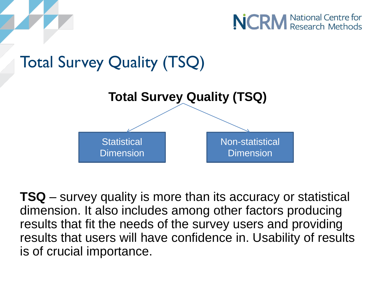



**TSQ** – survey quality is more than its accuracy or statistical dimension. It also includes among other factors producing results that fit the needs of the survey users and providing results that users will have confidence in. Usability of results is of crucial importance.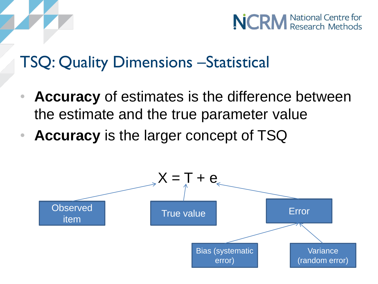

#### TSQ: Quality Dimensions –Statistical

- **Accuracy** of estimates is the difference between the estimate and the true parameter value
- **Accuracy** is the larger concept of TSQ

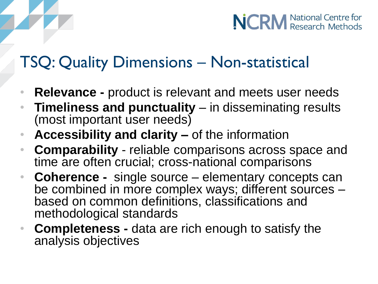#### TSQ: Quality Dimensions – Non-statistical

- **Relevance -** product is relevant and meets user needs
- **Timeliness and punctuality** in disseminating results (most important user needs)
- **Accessibility and clarity –** of the information
- **Comparability** reliable comparisons across space and time are often crucial; cross-national comparisons
- **Coherence -** single source elementary concepts can be combined in more complex ways; different sources – based on common definitions, classifications and methodological standards
- **Completeness -** data are rich enough to satisfy the analysis objectives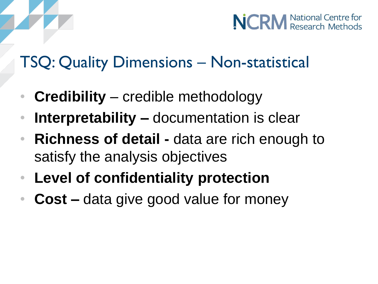#### TSQ: Quality Dimensions – Non-statistical

- **Credibility** credible methodology
- **Interpretability –** documentation is clear
- **Richness of detail -** data are rich enough to satisfy the analysis objectives
- **Level of confidentiality protection**
- **Cost –** data give good value for money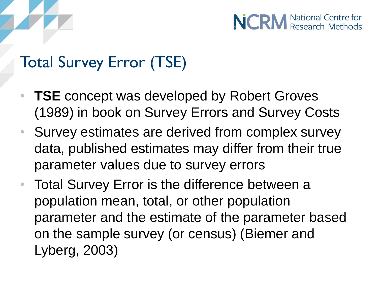

#### Total Survey Error (TSE)

- **TSE** concept was developed by Robert Groves (1989) in book on Survey Errors and Survey Costs
- Survey estimates are derived from complex survey data, published estimates may differ from their true parameter values due to survey errors
- Total Survey Error is the difference between a population mean, total, or other population parameter and the estimate of the parameter based on the sample survey (or census) (Biemer and Lyberg, 2003)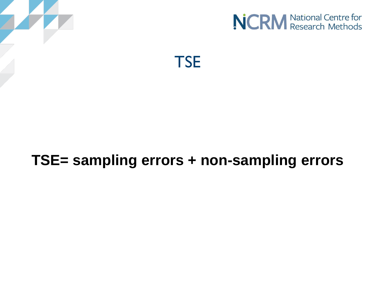



**TSE** 

#### **TSE= sampling errors + non-sampling errors**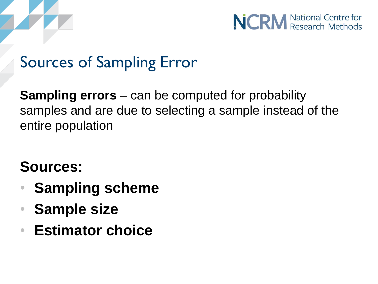



#### Sources of Sampling Error

**Sampling errors** – can be computed for probability samples and are due to selecting a sample instead of the entire population

#### **Sources:**

- **Sampling scheme**
- **Sample size**
- **Estimator choice**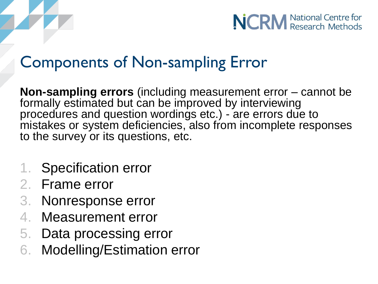



#### Components of Non-sampling Error

**Non-sampling errors** (including measurement error – cannot be formally estimated but can be improved by interviewing procedures and question wordings etc.) - are errors due to mistakes or system deficiencies, also from incomplete responses to the survey or its questions, etc.

- 1. Specification error
- 2. Frame error
- 3. Nonresponse error
- 4. Measurement error
- 5. Data processing error
- 6. Modelling/Estimation error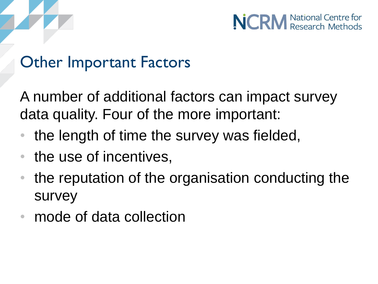



#### Other Important Factors

A number of additional factors can impact survey data quality. Four of the more important:

- the length of time the survey was fielded,
- the use of incentives,
- the reputation of the organisation conducting the survey
- mode of data collection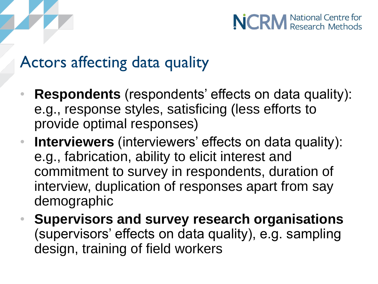#### Actors affecting data quality

- **Respondents** (respondents' effects on data quality): e.g., response styles, satisficing (less efforts to provide optimal responses)
- **Interviewers** (interviewers' effects on data quality): e.g., fabrication, ability to elicit interest and commitment to survey in respondents, duration of interview, duplication of responses apart from say demographic
- **Supervisors and survey research organisations**  (supervisors' effects on data quality), e.g. sampling design, training of field workers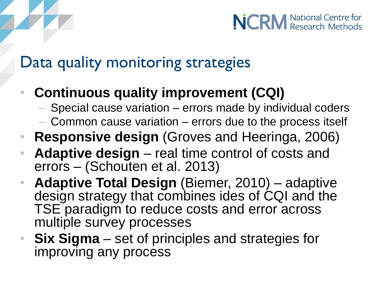#### Data quality monitoring strategies

- **Continuous quality improvement (CQI)** 
	- Special cause variation errors made by individual coders
	- Common cause variation errors due to the process itself
- **Responsive design** (Groves and Heeringa, 2006)
- **Adaptive design**  real time control of costs and errors – (Schouten et al. 2013)
- **Adaptive Total Design** (Biemer, 2010) adaptive design strategy that combines ides of CQI and the TSE paradigm to reduce costs and error across multiple survey processes
- **Six Sigma**  set of principles and strategies for improving any process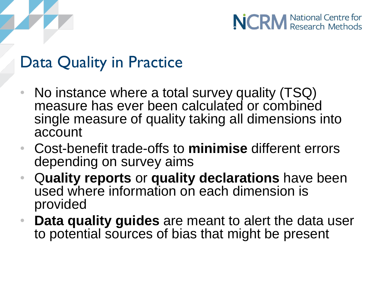

#### Data Quality in Practice

- No instance where a total survey quality (TSQ) measure has ever been calculated or combined single measure of quality taking all dimensions into account
- Cost-benefit trade-offs to **minimise** different errors depending on survey aims
- Q**uality reports** or **quality declarations** have been used where information on each dimension is provided
- **Data quality guides** are meant to alert the data user to potential sources of bias that might be present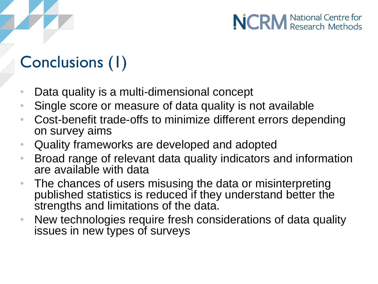## Conclusions (1)

- Data quality is a multi-dimensional concept
- Single score or measure of data quality is not available
- Cost-benefit trade-offs to minimize different errors depending on survey aims

**NCRM** National Centre for

- Quality frameworks are developed and adopted
- Broad range of relevant data quality indicators and information are available with data
- The chances of users misusing the data or misinterpreting published statistics is reduced if they understand better the strengths and limitations of the data.
- New technologies require fresh considerations of data quality issues in new types of surveys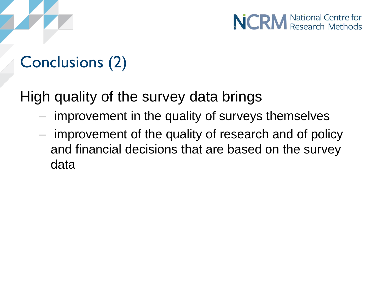## Conclusions (2)

High quality of the survey data brings

- improvement in the quality of surveys themselves
- improvement of the quality of research and of policy and financial decisions that are based on the survey data